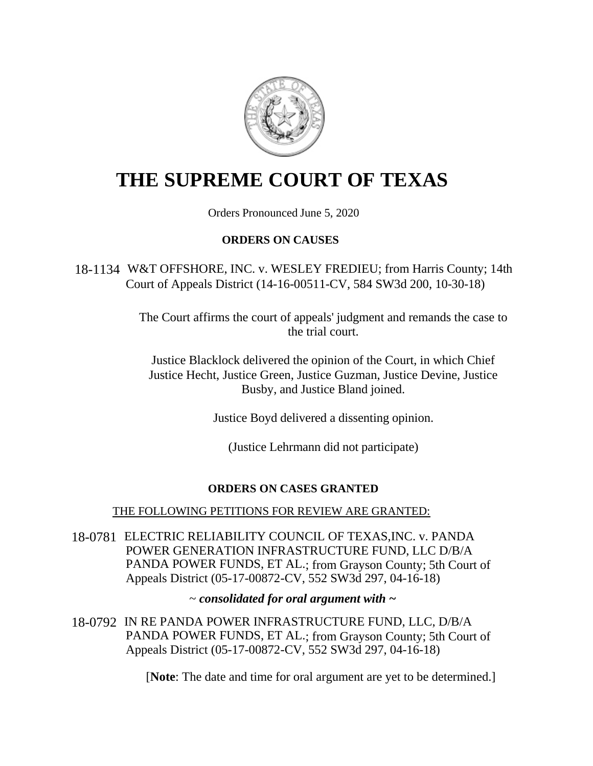

# **THE SUPREME COURT OF TEXAS**

Orders Pronounced June 5, 2020

# **ORDERS ON CAUSES**

18-1134 W&T OFFSHORE, INC. v. WESLEY FREDIEU; from Harris County; 14th Court of Appeals District (14-16-00511-CV, 584 SW3d 200, 10-30-18)

> The Court affirms the court of appeals' judgment and remands the case to the trial court.

Justice Blacklock delivered the opinion of the Court, in which Chief Justice Hecht, Justice Green, Justice Guzman, Justice Devine, Justice Busby, and Justice Bland joined.

Justice Boyd delivered a dissenting opinion.

(Justice Lehrmann did not participate)

# **ORDERS ON CASES GRANTED**

# THE FOLLOWING PETITIONS FOR REVIEW ARE GRANTED:

18-0781 ELECTRIC RELIABILITY COUNCIL OF TEXAS,INC. v. PANDA POWER GENERATION INFRASTRUCTURE FUND, LLC D/B/A PANDA POWER FUNDS, ET AL.; from Grayson County; 5th Court of Appeals District (05-17-00872-CV, 552 SW3d 297, 04-16-18)

~ *consolidated for oral argument with ~* 

18-0792 IN RE PANDA POWER INFRASTRUCTURE FUND, LLC, D/B/A PANDA POWER FUNDS, ET AL.; from Grayson County; 5th Court of Appeals District (05-17-00872-CV, 552 SW3d 297, 04-16-18)

[**Note**: The date and time for oral argument are yet to be determined.]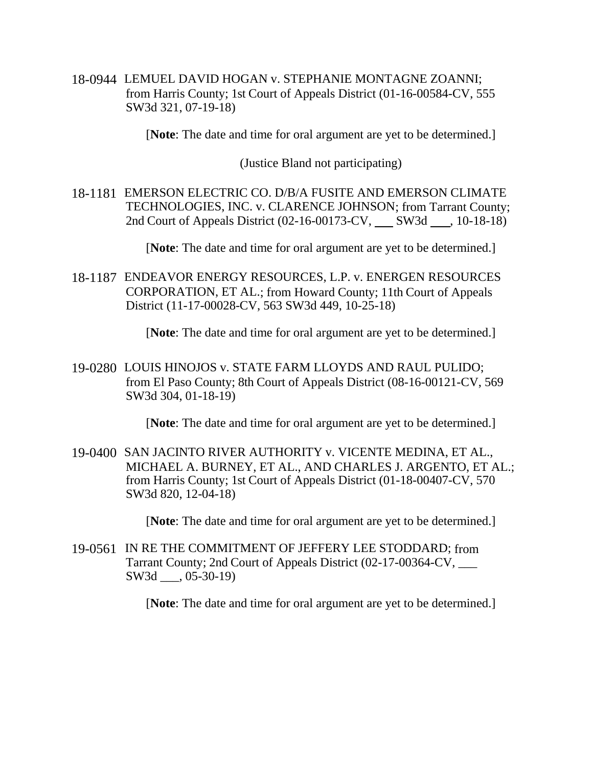18-0944 LEMUEL DAVID HOGAN v. STEPHANIE MONTAGNE ZOANNI; from Harris County; 1st Court of Appeals District (01-16-00584-CV, 555 SW3d 321, 07-19-18)

[**Note**: The date and time for oral argument are yet to be determined.]

(Justice Bland not participating)

18-1181 EMERSON ELECTRIC CO. D/B/A FUSITE AND EMERSON CLIMATE TECHNOLOGIES, INC. v. CLARENCE JOHNSON; from Tarrant County; 2nd Court of Appeals District (02-16-00173-CV, SW3d, 10-18-18)

[**Note**: The date and time for oral argument are yet to be determined.]

18-1187 ENDEAVOR ENERGY RESOURCES, L.P. v. ENERGEN RESOURCES CORPORATION, ET AL.; from Howard County; 11th Court of Appeals District (11-17-00028-CV, 563 SW3d 449, 10-25-18)

[**Note**: The date and time for oral argument are yet to be determined.]

19-0280 LOUIS HINOJOS v. STATE FARM LLOYDS AND RAUL PULIDO; from El Paso County; 8th Court of Appeals District (08-16-00121-CV, 569 SW3d 304, 01-18-19)

[**Note**: The date and time for oral argument are yet to be determined.]

19-0400 SAN JACINTO RIVER AUTHORITY v. VICENTE MEDINA, ET AL., MICHAEL A. BURNEY, ET AL., AND CHARLES J. ARGENTO, ET AL.; from Harris County; 1st Court of Appeals District (01-18-00407-CV, 570 SW3d 820, 12-04-18)

[**Note**: The date and time for oral argument are yet to be determined.]

19-0561 IN RE THE COMMITMENT OF JEFFERY LEE STODDARD; from Tarrant County; 2nd Court of Appeals District (02-17-00364-CV, \_\_\_ SW3d  $, 05-30-19)$ 

[**Note**: The date and time for oral argument are yet to be determined.]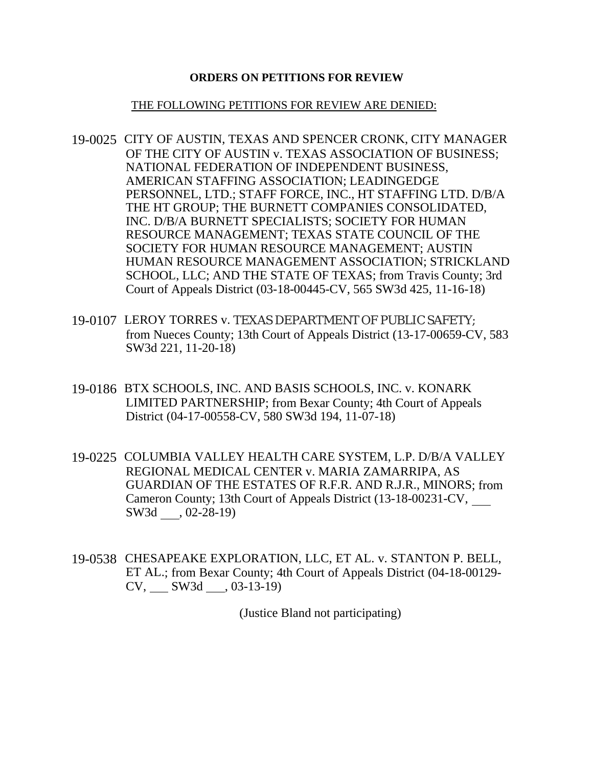### **ORDERS ON PETITIONS FOR REVIEW**

#### THE FOLLOWING PETITIONS FOR REVIEW ARE DENIED:

- 19-0025 CITY OF AUSTIN, TEXAS AND SPENCER CRONK, CITY MANAGER OF THE CITY OF AUSTIN v. TEXAS ASSOCIATION OF BUSINESS; NATIONAL FEDERATION OF INDEPENDENT BUSINESS, AMERICAN STAFFING ASSOCIATION; LEADINGEDGE PERSONNEL, LTD.; STAFF FORCE, INC., HT STAFFING LTD. D/B/A THE HT GROUP; THE BURNETT COMPANIES CONSOLIDATED, INC. D/B/A BURNETT SPECIALISTS; SOCIETY FOR HUMAN RESOURCE MANAGEMENT; TEXAS STATE COUNCIL OF THE SOCIETY FOR HUMAN RESOURCE MANAGEMENT; AUSTIN HUMAN RESOURCE MANAGEMENT ASSOCIATION; STRICKLAND SCHOOL, LLC; AND THE STATE OF TEXAS; from Travis County; 3rd Court of Appeals District (03-18-00445-CV, 565 SW3d 425, 11-16-18)
- 19-0107 LEROY TORRES v. TEXAS DEPARTMENT OF PUBLIC SAFETY; from Nueces County; 13th Court of Appeals District (13-17-00659-CV, 583 SW3d 221, 11-20-18)
- 19-0186 BTX SCHOOLS, INC. AND BASIS SCHOOLS, INC. v. KONARK LIMITED PARTNERSHIP; from Bexar County; 4th Court of Appeals District (04-17-00558-CV, 580 SW3d 194, 11-07-18)
- 19-0225 COLUMBIA VALLEY HEALTH CARE SYSTEM, L.P. D/B/A VALLEY REGIONAL MEDICAL CENTER v. MARIA ZAMARRIPA, AS GUARDIAN OF THE ESTATES OF R.F.R. AND R.J.R., MINORS; from Cameron County; 13th Court of Appeals District (13-18-00231-CV, SW3d , 02-28-19)
- 19-0538 CHESAPEAKE EXPLORATION, LLC, ET AL. v. STANTON P. BELL, ET AL.; from Bexar County; 4th Court of Appeals District (04-18-00129- CV, SW3d , 03-13-19)

(Justice Bland not participating)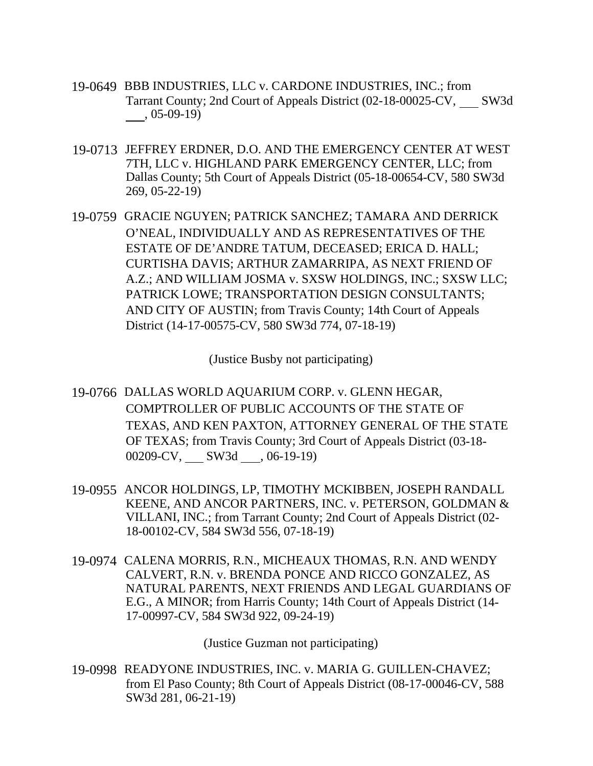- 19-0649 BBB INDUSTRIES, LLC v. CARDONE INDUSTRIES, INC.; from Tarrant County; 2nd Court of Appeals District (02-18-00025-CV, SW3d , 05-09-19)
- 19-0713 JEFFREY ERDNER, D.O. AND THE EMERGENCY CENTER AT WEST 7TH, LLC v. HIGHLAND PARK EMERGENCY CENTER, LLC; from Dallas County; 5th Court of Appeals District (05-18-00654-CV, 580 SW3d 269, 05-22-19)
- 19-0759 GRACIE NGUYEN; PATRICK SANCHEZ; TAMARA AND DERRICK O'NEAL, INDIVIDUALLY AND AS REPRESENTATIVES OF THE ESTATE OF DE'ANDRE TATUM, DECEASED; ERICA D. HALL; CURTISHA DAVIS; ARTHUR ZAMARRIPA, AS NEXT FRIEND OF A.Z.; AND WILLIAM JOSMA v. SXSW HOLDINGS, INC.; SXSW LLC; PATRICK LOWE; TRANSPORTATION DESIGN CONSULTANTS; AND CITY OF AUSTIN; from Travis County; 14th Court of Appeals District (14-17-00575-CV, 580 SW3d 774, 07-18-19)

(Justice Busby not participating)

- 19-0766 DALLAS WORLD AQUARIUM CORP. v. GLENN HEGAR, COMPTROLLER OF PUBLIC ACCOUNTS OF THE STATE OF TEXAS, AND KEN PAXTON, ATTORNEY GENERAL OF THE STATE OF TEXAS; from Travis County; 3rd Court of Appeals District (03-18-  $00209$ -CV,  $\_\_\_$  SW3d  $\_\_$ , 06-19-19)
- 19-0955 ANCOR HOLDINGS, LP, TIMOTHY MCKIBBEN, JOSEPH RANDALL KEENE, AND ANCOR PARTNERS, INC. v. PETERSON, GOLDMAN & VILLANI, INC.; from Tarrant County; 2nd Court of Appeals District (02- 18-00102-CV, 584 SW3d 556, 07-18-19)
- 19-0974 CALENA MORRIS, R.N., MICHEAUX THOMAS, R.N. AND WENDY CALVERT, R.N. v. BRENDA PONCE AND RICCO GONZALEZ, AS NATURAL PARENTS, NEXT FRIENDS AND LEGAL GUARDIANS OF E.G., A MINOR; from Harris County; 14th Court of Appeals District (14- 17-00997-CV, 584 SW3d 922, 09-24-19)

(Justice Guzman not participating)

19-0998 READYONE INDUSTRIES, INC. v. MARIA G. GUILLEN-CHAVEZ; from El Paso County; 8th Court of Appeals District (08-17-00046-CV, 588 SW3d 281, 06-21-19)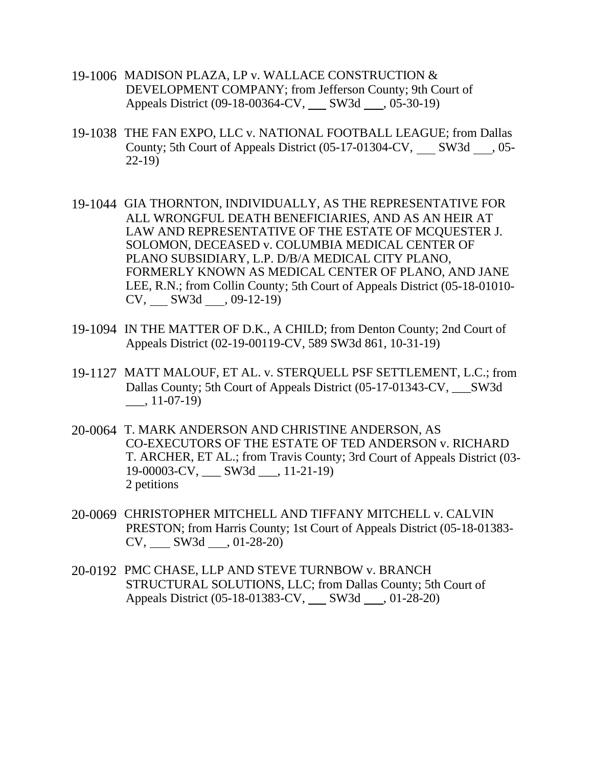- 19-1006 MADISON PLAZA, LP v. WALLACE CONSTRUCTION & DEVELOPMENT COMPANY; from Jefferson County; 9th Court of Appeals District (09-18-00364-CV, SW3d , 05-30-19)
- 19-1038 THE FAN EXPO, LLC v. NATIONAL FOOTBALL LEAGUE; from Dallas County; 5th Court of Appeals District  $(05-17-01304$ -CV, SW3d  $\ldots$ , 05-22-19)
- 19-1044 GIA THORNTON, INDIVIDUALLY, AS THE REPRESENTATIVE FOR ALL WRONGFUL DEATH BENEFICIARIES, AND AS AN HEIR AT LAW AND REPRESENTATIVE OF THE ESTATE OF MCQUESTER J. SOLOMON, DECEASED v. COLUMBIA MEDICAL CENTER OF PLANO SUBSIDIARY, L.P. D/B/A MEDICAL CITY PLANO, FORMERLY KNOWN AS MEDICAL CENTER OF PLANO, AND JANE LEE, R.N.; from Collin County; 5th Court of Appeals District (05-18-01010-  $CV, \_\_\_SW3d \_\_,\_09-12-19)$
- 19-1094 IN THE MATTER OF D.K., A CHILD; from Denton County; 2nd Court of Appeals District (02-19-00119-CV, 589 SW3d 861, 10-31-19)
- 19-1127 MATT MALOUF, ET AL. v. STERQUELL PSF SETTLEMENT, L.C.; from Dallas County; 5th Court of Appeals District (05-17-01343-CV, SW3d \_\_\_, 11-07-19)
- 20-0064 T. MARK ANDERSON AND CHRISTINE ANDERSON, AS CO-EXECUTORS OF THE ESTATE OF TED ANDERSON v. RICHARD T. ARCHER, ET AL.; from Travis County; 3rd Court of Appeals District (03- 19-00003-CV, SW3d , 11-21-19) 2 petitions
- 20-0069 CHRISTOPHER MITCHELL AND TIFFANY MITCHELL v. CALVIN PRESTON; from Harris County; 1st Court of Appeals District (05-18-01383-  $CV, \_\_\_SW3d \_\_,\01-28-20)$
- 20-0192 PMC CHASE, LLP AND STEVE TURNBOW v. BRANCH STRUCTURAL SOLUTIONS, LLC; from Dallas County; 5th Court of Appeals District (05-18-01383-CV, SW3d , 01-28-20)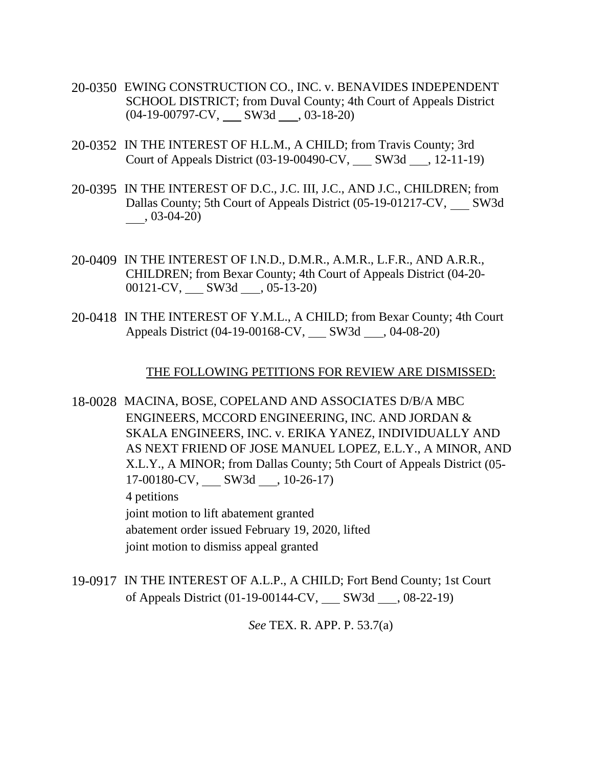- 20-0350 EWING CONSTRUCTION CO., INC. v. BENAVIDES INDEPENDENT SCHOOL DISTRICT; from Duval County; 4th Court of Appeals District  $(04-19-00797-CV,$  SW3d  $\qquad$ , 03-18-20)
- 20-0352 IN THE INTEREST OF H.L.M., A CHILD; from Travis County; 3rd Court of Appeals District (03-19-00490-CV, SW3d , 12-11-19)
- 20-0395 IN THE INTEREST OF D.C., J.C. III, J.C., AND J.C., CHILDREN; from Dallas County; 5th Court of Appeals District (05-19-01217-CV, SW3d , 03-04-20)
- 20-0409 IN THE INTEREST OF I.N.D., D.M.R., A.M.R., L.F.R., AND A.R.R., CHILDREN; from Bexar County; 4th Court of Appeals District (04-20-  $00121$ -CV, SW3d \_ , 05-13-20)
- 20-0418 IN THE INTEREST OF Y.M.L., A CHILD; from Bexar County; 4th Court Appeals District (04-19-00168-CV, \_\_\_ SW3d \_\_\_, 04-08-20)

#### THE FOLLOWING PETITIONS FOR REVIEW ARE DISMISSED:

18-0028 MACINA, BOSE, COPELAND AND ASSOCIATES D/B/A MBC ENGINEERS, MCCORD ENGINEERING, INC. AND JORDAN & SKALA ENGINEERS, INC. v. ERIKA YANEZ, INDIVIDUALLY AND AS NEXT FRIEND OF JOSE MANUEL LOPEZ, E.L.Y., A MINOR, AND X.L.Y., A MINOR; from Dallas County; 5th Court of Appeals District (05- 17-00180-CV, SW3d , 10-26-17) 4 petitions joint motion to lift abatement granted abatement order issued February 19, 2020, lifted joint motion to dismiss appeal granted

19-0917 IN THE INTEREST OF A.L.P., A CHILD; Fort Bend County; 1st Court of Appeals District (01-19-00144-CV, \_\_\_ SW3d \_\_\_, 08-22-19)

*See* TEX. R. APP. P. 53.7(a)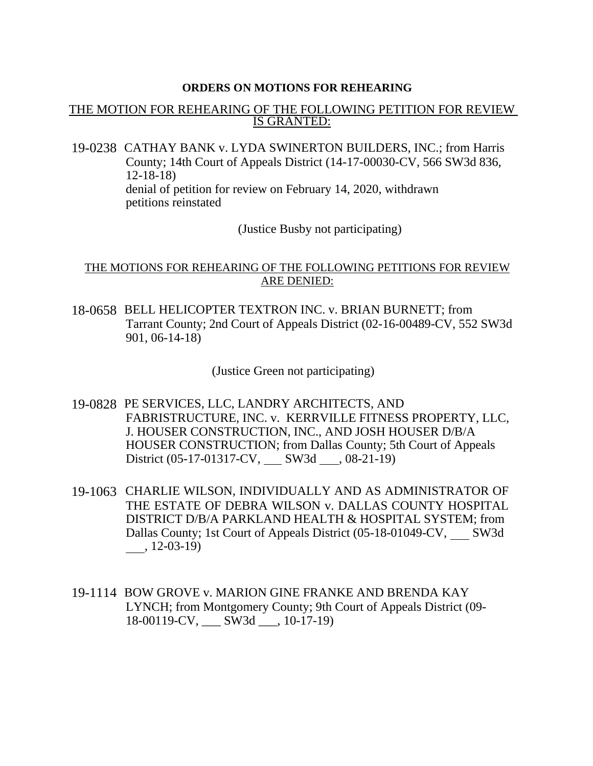#### **ORDERS ON MOTIONS FOR REHEARING**

## THE MOTION FOR REHEARING OF THE FOLLOWING PETITION FOR REVIEW IS GRANTED:

19-0238 CATHAY BANK v. LYDA SWINERTON BUILDERS, INC.; from Harris County; 14th Court of Appeals District (14-17-00030-CV, 566 SW3d 836, 12-18-18) denial of petition for review on February 14, 2020, withdrawn petitions reinstated

(Justice Busby not participating)

## THE MOTIONS FOR REHEARING OF THE FOLLOWING PETITIONS FOR REVIEW ARE DENIED:

18-0658 BELL HELICOPTER TEXTRON INC. v. BRIAN BURNETT; from Tarrant County; 2nd Court of Appeals District (02-16-00489-CV, 552 SW3d 901, 06-14-18)

(Justice Green not participating)

- 19-0828 PE SERVICES, LLC, LANDRY ARCHITECTS, AND FABRISTRUCTURE, INC. v. KERRVILLE FITNESS PROPERTY, LLC, J. HOUSER CONSTRUCTION, INC., AND JOSH HOUSER D/B/A HOUSER CONSTRUCTION; from Dallas County; 5th Court of Appeals District  $(05-17-01317$ -CV, SW3d  $\_,$  08-21-19)
- 19-1063 CHARLIE WILSON, INDIVIDUALLY AND AS ADMINISTRATOR OF THE ESTATE OF DEBRA WILSON v. DALLAS COUNTY HOSPITAL DISTRICT D/B/A PARKLAND HEALTH & HOSPITAL SYSTEM; from Dallas County; 1st Court of Appeals District (05-18-01049-CV, SW3d , 12-03-19)
- 19-1114 BOW GROVE v. MARION GINE FRANKE AND BRENDA KAY LYNCH; from Montgomery County; 9th Court of Appeals District (09- 18-00119-CV, \_\_\_ SW3d \_\_\_, 10-17-19)